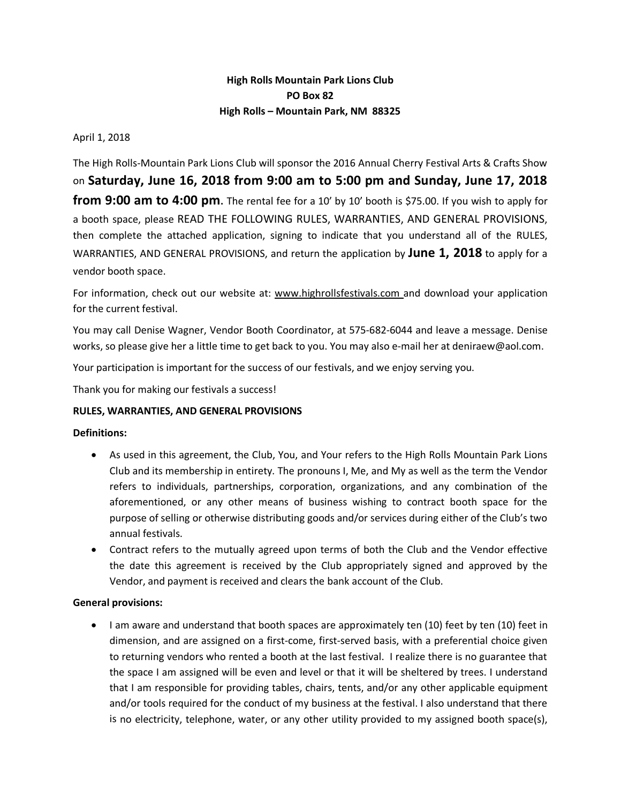# **High Rolls Mountain Park Lions Club PO Box 82 High Rolls – Mountain Park, NM 88325**

April 1, 2018

The High Rolls‐Mountain Park Lions Club will sponsor the 2016 Annual Cherry Festival Arts & Crafts Show on **Saturday, June 16, 2018 from 9:00 am to 5:00 pm and Sunday, June 17, 2018 from 9:00 am to 4:00 pm**. The rental fee for a 10' by 10' booth is \$75.00. If you wish to apply for a booth space, please READ THE FOLLOWING RULES, WARRANTIES, AND GENERAL PROVISIONS, then complete the attached application, signing to indicate that you understand all of the RULES, WARRANTIES, AND GENERAL PROVISIONS, and return the application by **June 1, 2018** to apply for a vendor booth space.

For information, check out our website at: www.highrollsfestivals.com and download your application for the current festival.

You may call Denise Wagner, Vendor Booth Coordinator, at 575‐682‐6044 and leave a message. Denise works, so please give her a little time to get back to you. You may also e-mail her at deniraew@aol.com.

Your participation is important for the success of our festivals, and we enjoy serving you.

Thank you for making our festivals a success!

#### **RULES, WARRANTIES, AND GENERAL PROVISIONS**

#### **Definitions:**

- As used in this agreement, the Club, You, and Your refers to the High Rolls Mountain Park Lions Club and its membership in entirety. The pronouns I, Me, and My as well as the term the Vendor refers to individuals, partnerships, corporation, organizations, and any combination of the aforementioned, or any other means of business wishing to contract booth space for the purpose of selling or otherwise distributing goods and/or services during either of the Club's two annual festivals.
- Contract refers to the mutually agreed upon terms of both the Club and the Vendor effective the date this agreement is received by the Club appropriately signed and approved by the Vendor, and payment is received and clears the bank account of the Club.

#### **General provisions:**

• I am aware and understand that booth spaces are approximately ten (10) feet by ten (10) feet in dimension, and are assigned on a first-come, first-served basis, with a preferential choice given to returning vendors who rented a booth at the last festival. I realize there is no guarantee that the space I am assigned will be even and level or that it will be sheltered by trees. I understand that I am responsible for providing tables, chairs, tents, and/or any other applicable equipment and/or tools required for the conduct of my business at the festival. I also understand that there is no electricity, telephone, water, or any other utility provided to my assigned booth space(s),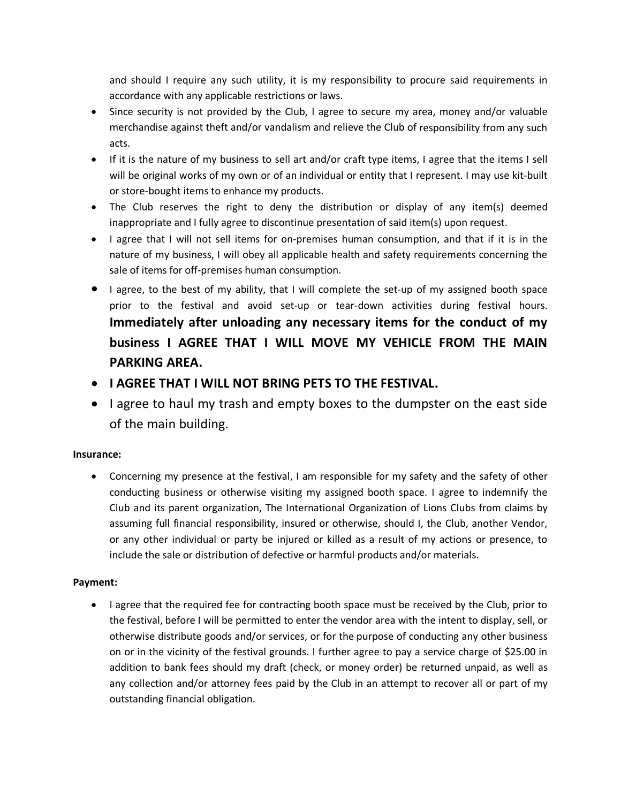and should I require any such utility, it is my responsibility to procure said requirements in accordance with any applicable restrictions or laws.

- Since security is not provided by the Club, I agree to secure my area, money and/or valuable merchandise against theft and/or vandalism and relieve the Club of responsibility from any such acts.
- If it is the nature of my business to sell art and/or craft type items, I agree that the items I sell will be original works of my own or of an individual or entity that I represent. I may use kit-built or store‐bought items to enhance my products.
- The Club reserves the right to deny the distribution or display of any item(s) deemed inappropriate and I fully agree to discontinue presentation of said item(s) upon request.
- I agree that I will not sell items for on-premises human consumption, and that if it is in the nature of my business, I will obey all applicable health and safety requirements concerning the sale of items for off‐premises human consumption.
- I agree, to the best of my ability, that I will complete the set-up of my assigned booth space prior to the festival and avoid set‐up or tear‐down activities during festival hours. **Immediately after unloading any necessary items for the conduct of my business I AGREE THAT I WILL MOVE MY VEHICLE FROM THE MAIN PARKING AREA.**
- **I AGREE THAT I WILL NOT BRING PETS TO THE FESTIVAL.**
- I agree to haul my trash and empty boxes to the dumpster on the east side of the main building.

# **Insurance:**

 Concerning my presence at the festival, I am responsible for my safety and the safety of other conducting business or otherwise visiting my assigned booth space. I agree to indemnify the Club and its parent organization, The International Organization of Lions Clubs from claims by assuming full financial responsibility, insured or otherwise, should I, the Club, another Vendor, or any other individual or party be injured or killed as a result of my actions or presence, to include the sale or distribution of defective or harmful products and/or materials.

# **Payment:**

• I agree that the required fee for contracting booth space must be received by the Club, prior to the festival, before I will be permitted to enter the vendor area with the intent to display, sell, or otherwise distribute goods and/or services, or for the purpose of conducting any other business on or in the vicinity of the festival grounds. I further agree to pay a service charge of \$25.00 in addition to bank fees should my draft (check, or money order) be returned unpaid, as well as any collection and/or attorney fees paid by the Club in an attempt to recover all or part of my outstanding financial obligation.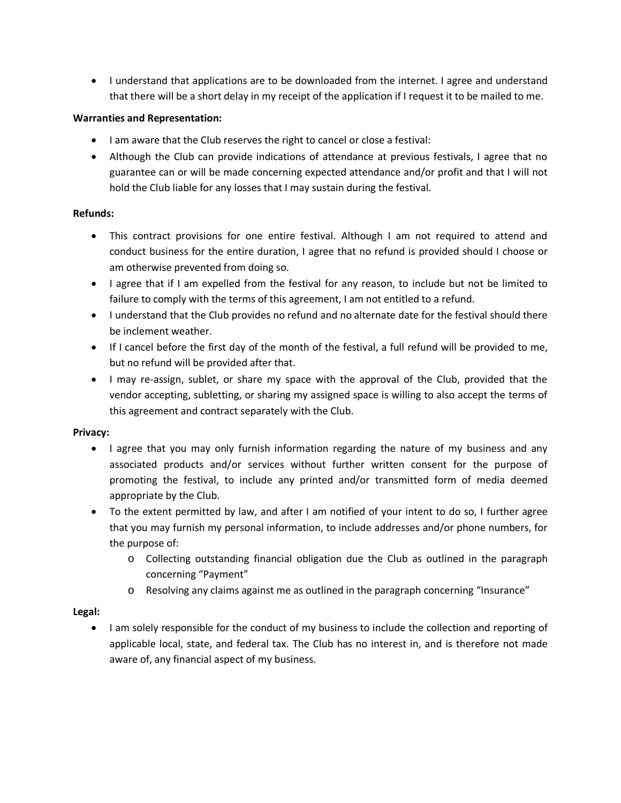• I understand that applications are to be downloaded from the internet. I agree and understand that there will be a short delay in my receipt of the application if I request it to be mailed to me.

### **Warranties and Representation:**

- I am aware that the Club reserves the right to cancel or close a festival:
- Although the Club can provide indications of attendance at previous festivals, I agree that no guarantee can or will be made concerning expected attendance and/or profit and that I will not hold the Club liable for any losses that I may sustain during the festival.

#### **Refunds:**

- This contract provisions for one entire festival. Although I am not required to attend and conduct business for the entire duration, I agree that no refund is provided should I choose or am otherwise prevented from doing so.
- I agree that if I am expelled from the festival for any reason, to include but not be limited to failure to comply with the terms of this agreement, I am not entitled to a refund.
- I understand that the Club provides no refund and no alternate date for the festival should there be inclement weather.
- If I cancel before the first day of the month of the festival, a full refund will be provided to me, but no refund will be provided after that.
- I may re-assign, sublet, or share my space with the approval of the Club, provided that the vendor accepting, subletting, or sharing my assigned space is willing to also accept the terms of this agreement and contract separately with the Club.

#### **Privacy:**

- I agree that you may only furnish information regarding the nature of my business and any associated products and/or services without further written consent for the purpose of promoting the festival, to include any printed and/or transmitted form of media deemed appropriate by the Club.
- To the extent permitted by law, and after I am notified of your intent to do so, I further agree that you may furnish my personal information, to include addresses and/or phone numbers, for the purpose of:
	- o Collecting outstanding financial obligation due the Club as outlined in the paragraph concerning "Payment"
	- o Resolving any claims against me as outlined in the paragraph concerning "Insurance"

# **Legal:**

 I am solely responsible for the conduct of my business to include the collection and reporting of applicable local, state, and federal tax. The Club has no interest in, and is therefore not made aware of, any financial aspect of my business.